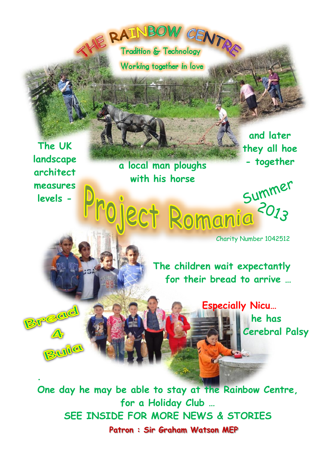

**The UK landscape architect measures levels -**

**.** 

Bread

**ujia** 

**a local man ploughs with his horse**

**- together** Project Romania<sup>2013</sup>

**and later they all hoe** 

**The children wait expectantly for their bread to arrive …** 

> **Especially Nicu… he has Cerebral Palsy**

**One day he may be able to stay at the Rainbow Centre, for a Holiday Club … SEE INSIDE FOR MORE NEWS & STORIES Patron : Sir Graham Watson MEP**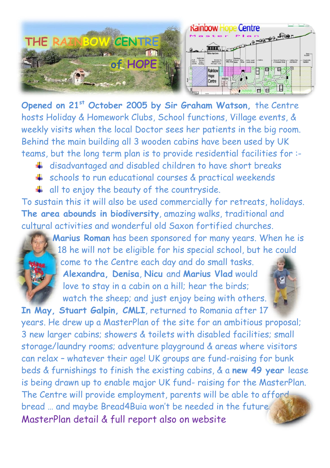

**Opened on 21st October 2005 by Sir Graham Watson,** the Centre hosts Holiday & Homework Clubs, School functions, Village events, & weekly visits when the local Doctor sees her patients in the big room. Behind the main building all 3 wooden cabins have been used by UK teams, but the long term plan is to provide residential facilities for :-

- $\triangleq$  disadvantaged and disabled children to have short breaks
- schools to run educational courses & practical weekends
- $\frac{1}{2}$  all to enjoy the beauty of the countryside.

To sustain this it will also be used commercially for retreats, holidays. **The area abounds in biodiversity**, amazing walks, traditional and cultural activities and wonderful old Saxon fortified churches.

 **Marius Roman** has been sponsored for many years. When he is 18 he will not be eligible for his special school, but he could come to the Centre each day and do small tasks. **Alexandra, Denisa**, **Nicu** and **Marius Vlad** would love to stay in a cabin on a hill; hear the birds;

watch the sheep; and just enjoy being with others.

**In May, Stuart Galpin, CMLI**, returned to Romania after 17 years. He drew up a MasterPlan of the site for an ambitious proposal; 3 new larger cabins; showers & toilets with disabled facilities; small storage/laundry rooms; adventure playground & areas where visitors can relax – whatever their age! UK groups are fund-raising for bunk beds & furnishings to finish the existing cabins, & a **new 49 year** lease is being drawn up to enable major UK fund- raising for the MasterPlan. The Centre will provide employment, parents will be able to afford bread … and maybe Bread4Buia won't be needed in the future. MasterPlan detail & full report also on website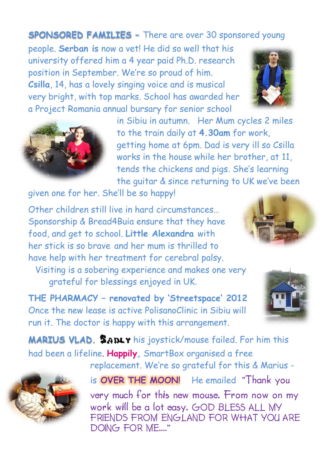## **SPONSORED FAMILIES –** There are over 30 sponsored young

people. **Serban is** now a vet! He did so well that his university offered him a 4 year paid Ph.D. research position in September. We're so proud of him. **Csilla**, 14, has a lovely singing voice and is musical very bright, with top marks. School has awarded her a Project Romania annual bursary for senior school

in Sibiu in autumn. Her Mum cycles 2 miles to the train daily at **4.30am** for work, getting home at 6pm. Dad is very ill so Csilla works in the house while her brother, at 11, tends the chickens and pigs. She's learning the guitar & since returning to UK we've been

given one for her. She'll be so happy!

Other children still live in hard circumstances… Sponsorship & Bread4Buia ensure that they have food, and get to school. **Little Alexandra** with her stick is so brave and her mum is thrilled to have help with her treatment for cerebral palsy.

Visiting is a sobering experience and makes one very grateful for blessings enjoyed in UK.

**THE PHARMACY – renovated by 'Streetspace' 2012** Once the new lease is active PolisanoClinic in Sibiu will run it. The doctor is happy with this arrangement.

**MARIUS VLAD. SADLY** his joystick/mouse failed. For him this had been a lifeline. **Happily,** SmartBox organised a free

replacement. We're so grateful for this & Marius -



is **OVER THE MOON!** He emailed "Thank you

very much for this new mouse. From now on my work will be a lot easy. GOD BLESS ALL MY FRIENDS FROM ENGLAND FOR WHAT YOU ARE DOING FOR ME...."